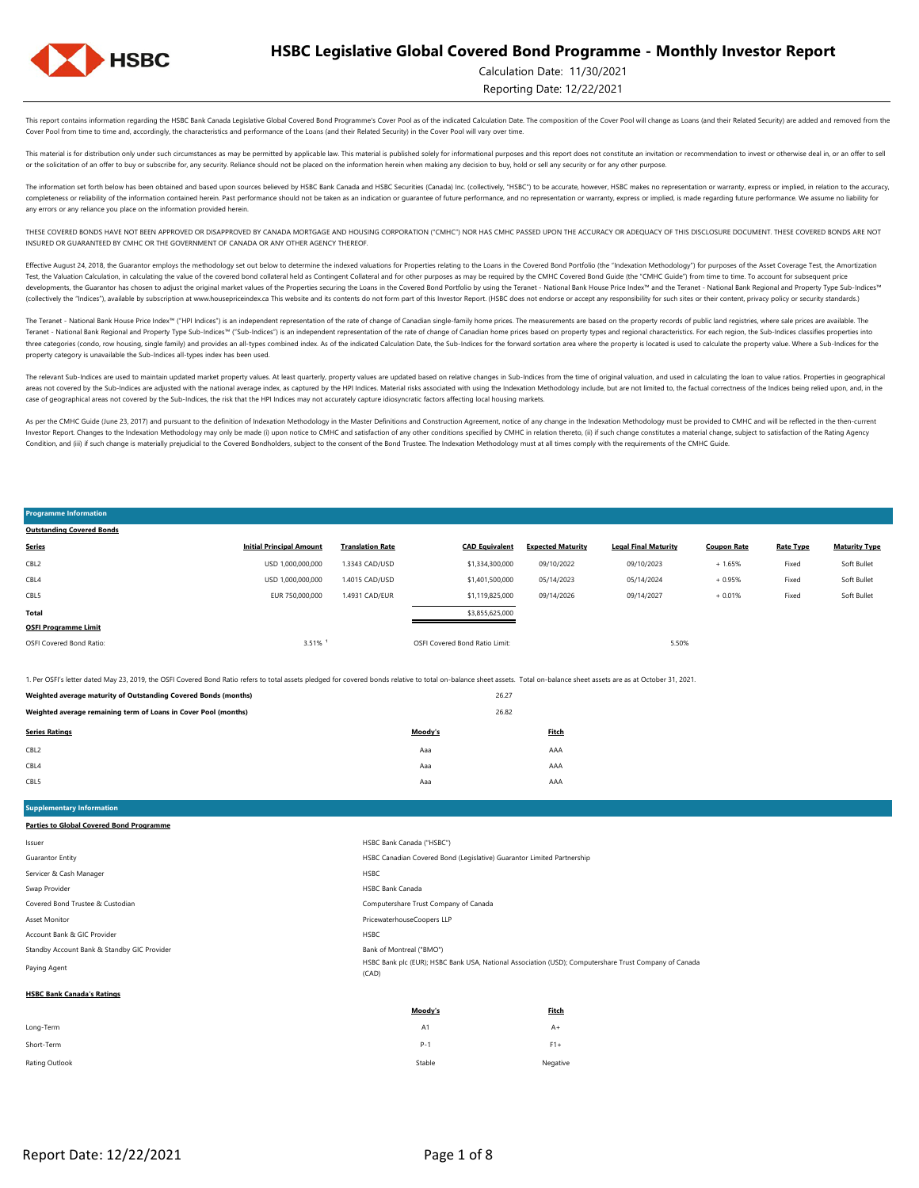

Calculation Date: 11/30/2021

Reporting Date: 12/22/2021

Soft Bullet

This report contains information regarding the HSBC Bank Canada Legislative Global Covered Bond Programme's Cover Pool as of the indicated Calculation Date. The composition of the Cover Pool will change as Loans (and their Cover Pool from time to time and, accordingly, the characteristics and performance of the Loans (and their Related Security) in the Cover Pool will vary over time.

This material is for distribution only under such circumstances as may be permitted by applicable law. This material is published solely for informational purposes and this report does not constitute an invitation or recom or the solicitation of an offer to buy or subscribe for, any security. Reliance should not be placed on the information herein when making any decision to buy, hold or sell any security or for any other purpose.

The information set forth below has been obtained and based upon sources believed by HSBC Bank Canada and HSBC Securities (Canada) Inc. (collectively, "HSBC") to be accurate, however, HSBC makes no representation or warran completeness or reliability of the information contained herein. Past performance should not be taken as an indication or guarantee of future performance, and no representation or warranty, express or implied, is made rega any errors or any reliance you place on the information provided herein.

THESE COVERED BONDS HAVE NOT BEEN APPROVED OR DISAPPROVED BY CANADA MORTGAGE AND HOUSING CORPORATION ("CMHC") NOR HAS CMHC PASSED UPON THE ACCURACY OR ADEQUACY OF THIS DISCLOSURE DOCUMENT. THESE COVERED BONDS ARE NOT INSURED OR GUARANTEED BY CMHC OR THE GOVERNMENT OF CANADA OR ANY OTHER AGENCY THEREOF.

Effective August 24, 2018, the Guarantor employs the methodology set out below to determine the indexed valuations for Properties relating to the Loans in the Covered Bond Portfolio (the "Indexation Methodology") for purpo Test, the Valuation Calculation, in calculating the value of the covered bond collateral held as Contingent Collateral and for other purposes as may be required by the CMHC Covered Bond Guide (the "CMHC Guide") from time t developments, the Guarantor has chosen to adjust the original market values of the Properties securing the Loans in the Covered Bond Portfolio by using the Teranet - National Bank House Price Index<sup>nu</sup> and the Teranet - Na (collectively the "Indices"), available by subscription at www.housepriceindex.ca This website and its contents do not form part of this Investor Report. (HSBC does not endorse or accept any responsibility for such sites o

The Teranet - National Bank House Price Index<sup>na</sup> ("HPI Indices") is an independent representation of the rate of change of Canadian single-family home prices. The measurements are based on the property records of public l Teranet - National Bank Regional and Property Type Sub-Indices™ ("Sub-Indices") is an independent representation of the rate of change of Canadian home prices based on property types and regional characteristics. For each three categories (condo, row housing, single family) and provides an all-types combined index. As of the indicated Calculation Date, the Sub-Indices for the forward sortation area where the property is located is used to c property category is unavailable the Sub-Indices all-types index has been used.

The relevant Sub-Indices are used to maintain updated market property values. At least quarterly, property values are updated based on relative changes in Sub-Indices from the time of original valuation, and used in calcul areas not covered by the Sub-Indices are adjusted with the national average index, as captured by the HPI Indices. Material risks associated with using the Indivation Methodology include, but are not limited to, the factua case of geographical areas not covered by the Sub-Indices, the risk that the HPI Indices may not accurately capture idiosyncratic factors affecting local housing markets.

As per the CMHC Guide (June 23, 2017) and pursuant to the definition of Indexation Methodology in the Master Definitions and Construction Agreement, notice of any change in the Indexation Methodology must be provided to CM Investor Report. Changes to the Indexation Methodology may only be made (i) upon notice to CMHC and satisfaction of any other conditions specified by CMHC in relation thereto, (ii) if such change constitutes a material cha Condition, and (iii) if such change is materially prejudicial to the Covered Bondholders, subject to the consent of the Bond Trustee. The Indexation Methodology must at all times comply with the requirements of the CMHC Gu

#### USD 1,000,000,000 1.4015 CAD/USD \$1,401,500,000 05/14/2023 05/14/2024 + 0.95% Fixed Soft Bullet USD 1,000,000,000 1.4015 CAD/USD \$1,401,500,000 05/14/2023 05/14/2024 + 0.95% CBL5 **Total** CBL2 USD 1,000,000,000 **OSFI Programme Limit** 1.3343 CAD/USD \$1,334,300,000 EUR 750,000,000 3.51% ¹ \$1,119,825,000 09/14/2026 **CAD Equivalent Expected Maturity Legal Final Maturity Coupon Rate Rate Type Maturity Type Outstanding Covered Bonds Series Initial Principal Amount Translation Rate** OSFI Covered Bond Ratio: 09/10/2022 09/10/2023 + 1.65% Fixed 1.4931 CAD/EUR OSFI Covered Bond Ratio Limit: 5.50% + 0.01% Fixed Soft Bullet \$3,855,625,000 09/14/2027 Fixed

1. Per OSFI's letter dated May 23, 2019, the OSFI Covered Bond Ratio refers to total assets pledged for covered bonds relative to total on-balance sheet assets. Total on-balance sheet assets are as at October 31, 2021.

| 26.27<br>Weighted average maturity of Outstanding Covered Bonds (months) |         |       |
|--------------------------------------------------------------------------|---------|-------|
| 26.82<br>Weighted average remaining term of Loans in Cover Pool (months) |         |       |
| <b>Series Ratings</b>                                                    | Moody's | Fitch |
| CBL <sub>2</sub>                                                         | Aaa     | AAA   |
| CBL4                                                                     | Aaa     | AAA   |
| CBL5                                                                     | Aaa     | AAA   |

**Supplementary Information Parties to Global Covered Bond Programme**

**Programme Information**

| lssuer                                      | HSBC Bank Canada ("HSBC")                                                                                      |
|---------------------------------------------|----------------------------------------------------------------------------------------------------------------|
| Guarantor Entity                            | HSBC Canadian Covered Bond (Legislative) Guarantor Limited Partnership                                         |
| Servicer & Cash Manager                     | <b>HSBC</b>                                                                                                    |
| Swap Provider                               | <b>HSBC Bank Canada</b>                                                                                        |
| Covered Bond Trustee & Custodian            | Computershare Trust Company of Canada                                                                          |
| Asset Monitor                               | PricewaterhouseCoopers LLP                                                                                     |
| Account Bank & GIC Provider                 | <b>HSBC</b>                                                                                                    |
| Standby Account Bank & Standby GIC Provider | Bank of Montreal ("BMO")                                                                                       |
| Paying Agent                                | HSBC Bank plc (EUR); HSBC Bank USA, National Association (USD); Computershare Trust Company of Canada<br>(CAD) |
| <b>HSBC Bank Canada's Ratings</b>           |                                                                                                                |
|                                             |                                                                                                                |

|                | Moody's | <b>Fitch</b> |
|----------------|---------|--------------|
| Long-Term      | A1      | $A+$         |
| Short-Term     | $P-1$   | $F1+$        |
| Rating Outlook | Stable  | Negative     |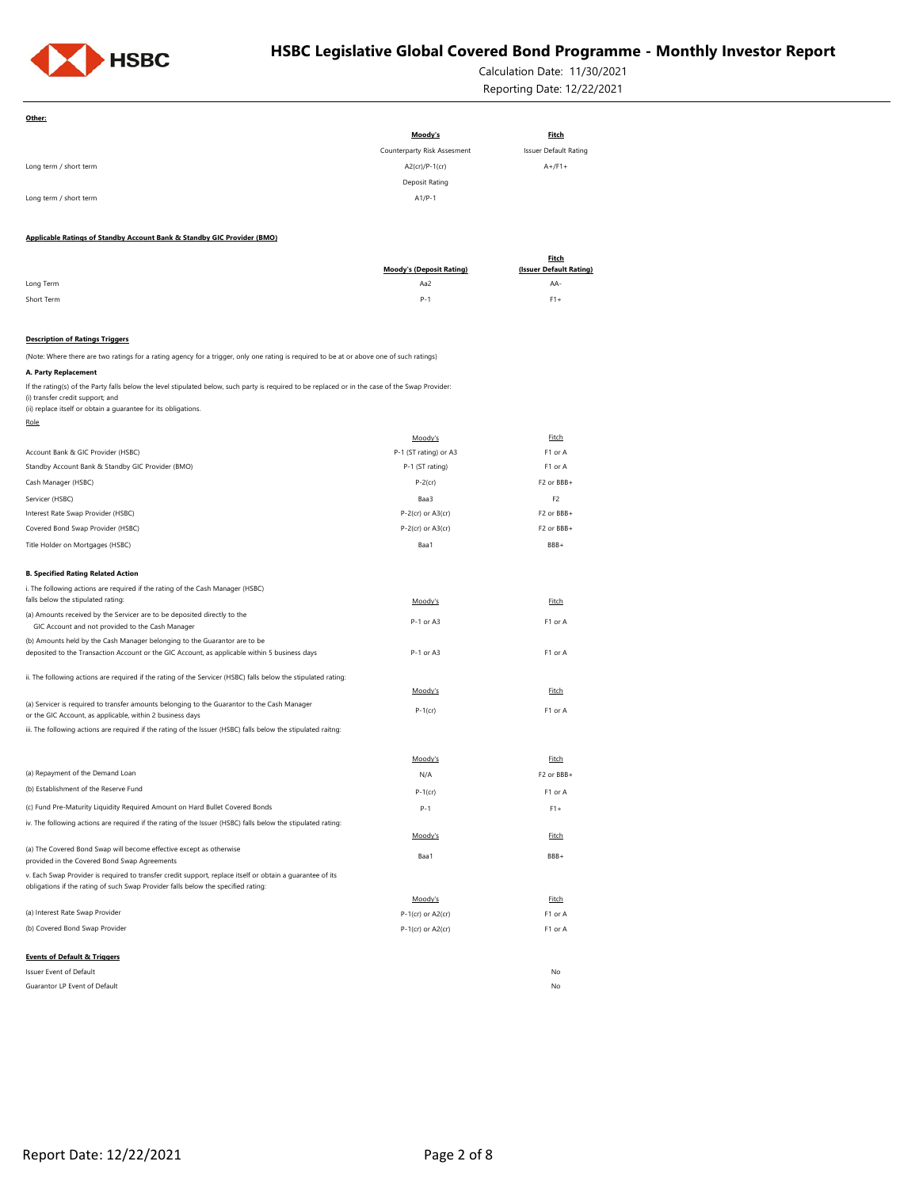

Calculation Date: 11/30/2021 Reporting Date: 12/22/2021

| Other:                                                                                                                                                                               |                                        |                                         |
|--------------------------------------------------------------------------------------------------------------------------------------------------------------------------------------|----------------------------------------|-----------------------------------------|
|                                                                                                                                                                                      | Moody's                                | <b>Fitch</b>                            |
|                                                                                                                                                                                      | Counterparty Risk Assesment            | Issuer Default Rating                   |
| Long term / short term                                                                                                                                                               | A2(cr)/P-1(cr)                         | $A+$ /F1+                               |
|                                                                                                                                                                                      | Deposit Rating                         |                                         |
| Long term / short term                                                                                                                                                               | $A1/P-1$                               |                                         |
|                                                                                                                                                                                      |                                        |                                         |
| Applicable Ratings of Standby Account Bank & Standby GIC Provider (BMO)                                                                                                              |                                        |                                         |
|                                                                                                                                                                                      |                                        | <b>Fitch</b><br>(Issuer Default Rating) |
| Long Term                                                                                                                                                                            | <b>Moody's (Deposit Rating)</b><br>Aa2 | AA-                                     |
| Short Term                                                                                                                                                                           | $P - 1$                                | $F1+$                                   |
|                                                                                                                                                                                      |                                        |                                         |
| <b>Description of Ratings Triggers</b>                                                                                                                                               |                                        |                                         |
| (Note: Where there are two ratings for a rating agency for a trigger, only one rating is required to be at or above one of such ratings)                                             |                                        |                                         |
| A. Party Replacement                                                                                                                                                                 |                                        |                                         |
| If the rating(s) of the Party falls below the level stipulated below, such party is required to be replaced or in the case of the Swap Provider:<br>(i) transfer credit support; and |                                        |                                         |
| (ii) replace itself or obtain a guarantee for its obligations.<br>Role                                                                                                               |                                        |                                         |
|                                                                                                                                                                                      | Moody's                                | Fitch                                   |
| Account Bank & GIC Provider (HSBC)                                                                                                                                                   | P-1 (ST rating) or A3                  | F1 or A                                 |
| Standby Account Bank & Standby GIC Provider (BMO)                                                                                                                                    | P-1 (ST rating)                        | F1 or A                                 |
| Cash Manager (HSBC)                                                                                                                                                                  | $P-2$ (cr)                             | F2 or BBB+                              |
| Servicer (HSBC)                                                                                                                                                                      | Baa3                                   | F <sub>2</sub>                          |
| Interest Rate Swap Provider (HSBC)                                                                                                                                                   | $P-2$ (cr) or $A3$ (cr)                | F2 or BBB+                              |
| Covered Bond Swap Provider (HSBC)                                                                                                                                                    | $P-2$ (cr) or $A3$ (cr)                | F2 or BBB+                              |
| Title Holder on Mortgages (HSBC)                                                                                                                                                     | Baa1                                   | BBB+                                    |
|                                                                                                                                                                                      |                                        |                                         |
| <b>B. Specified Rating Related Action</b>                                                                                                                                            |                                        |                                         |
| i. The following actions are required if the rating of the Cash Manager (HSBC)<br>falls below the stipulated rating:                                                                 | Moody's                                | Fitch                                   |
| (a) Amounts received by the Servicer are to be deposited directly to the                                                                                                             |                                        |                                         |
| GIC Account and not provided to the Cash Manager                                                                                                                                     | P-1 or A3                              | F1 or A                                 |
| (b) Amounts held by the Cash Manager belonging to the Guarantor are to be                                                                                                            |                                        |                                         |
| deposited to the Transaction Account or the GIC Account, as applicable within 5 business days                                                                                        | P-1 or A3                              | F1 or A                                 |
| ii. The following actions are required if the rating of the Servicer (HSBC) falls below the stipulated rating:                                                                       |                                        |                                         |
|                                                                                                                                                                                      | Moody's                                | Fitch                                   |
| (a) Servicer is required to transfer amounts belonging to the Guarantor to the Cash Manager                                                                                          | $P-1$ (cr)                             | F1 or A                                 |
| or the GIC Account, as applicable, within 2 business days<br>iii. The following actions are required if the rating of the Issuer (HSBC) falls below the stipulated raitng:           |                                        |                                         |
|                                                                                                                                                                                      |                                        |                                         |
|                                                                                                                                                                                      | Moody's                                | Fitch                                   |
| (a) Repayment of the Demand Loan                                                                                                                                                     | N/A                                    | F2 or BBB+                              |
| (b) Establishment of the Reserve Fund                                                                                                                                                | P-1(cr)                                | F1 or A                                 |
| (c) Fund Pre-Maturity Liquidity Required Amount on Hard Bullet Covered Bonds                                                                                                         |                                        |                                         |
| iv. The following actions are required if the rating of the Issuer (HSBC) falls below the stipulated rating:                                                                         | $P - 1$                                | $F1+$                                   |
|                                                                                                                                                                                      | Moody's                                | Fitch                                   |
| (a) The Covered Bond Swap will become effective except as otherwise                                                                                                                  |                                        |                                         |
| provided in the Covered Bond Swap Agreements                                                                                                                                         | Baa1                                   | BBB+                                    |
| v. Each Swap Provider is required to transfer credit support, replace itself or obtain a guarantee of its                                                                            |                                        |                                         |
| obligations if the rating of such Swap Provider falls below the specified rating:                                                                                                    | Moody's                                | Fitch                                   |
| (a) Interest Rate Swap Provider                                                                                                                                                      | P-1(cr) or A2(cr)                      | F1 or A                                 |
| (b) Covered Bond Swap Provider                                                                                                                                                       | P-1(cr) or A2(cr)                      | F1 or A                                 |
|                                                                                                                                                                                      |                                        |                                         |
| <b>Events of Default &amp; Triggers</b>                                                                                                                                              |                                        |                                         |
| Issuer Event of Default                                                                                                                                                              |                                        | No                                      |
| Guarantor LP Event of Default                                                                                                                                                        |                                        | No                                      |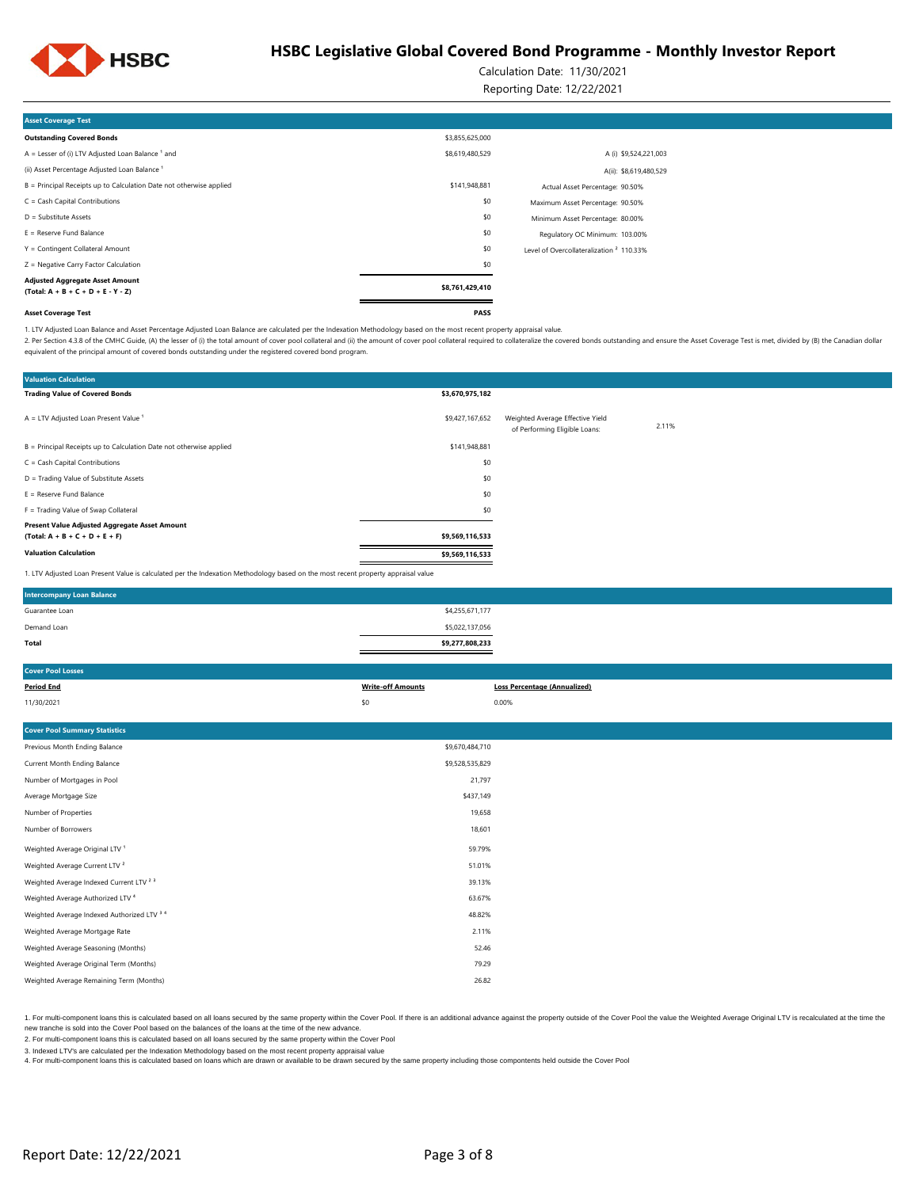

Calculation Date: 11/30/2021

Reporting Date: 12/22/2021

| <b>Asset Coverage Test</b>                                                     |                 |                                                     |  |
|--------------------------------------------------------------------------------|-----------------|-----------------------------------------------------|--|
| <b>Outstanding Covered Bonds</b>                                               | \$3,855,625,000 |                                                     |  |
| $A =$ Lesser of (i) LTV Adjusted Loan Balance $1$ and                          | \$8,619,480,529 | A (i) \$9,524,221,003                               |  |
| (ii) Asset Percentage Adjusted Loan Balance <sup>1</sup>                       |                 | A(ii): \$8,619,480,529                              |  |
| B = Principal Receipts up to Calculation Date not otherwise applied            | \$141,948,881   | Actual Asset Percentage: 90.50%                     |  |
| $C = Cash Capital Contributions$                                               | \$0             | Maximum Asset Percentage: 90.50%                    |  |
| $D =$ Substitute Assets                                                        | \$0             | Minimum Asset Percentage: 80.00%                    |  |
| $E =$ Reserve Fund Balance                                                     | \$0             | Regulatory OC Minimum: 103.00%                      |  |
| Y = Contingent Collateral Amount                                               | \$0             | Level of Overcollateralization <sup>2</sup> 110.33% |  |
| Z = Negative Carry Factor Calculation                                          | \$0             |                                                     |  |
| <b>Adjusted Aggregate Asset Amount</b><br>$(Total: A + B + C + D + E - Y - Z)$ | \$8,761,429,410 |                                                     |  |
| <b>Asset Coverage Test</b>                                                     | PASS            |                                                     |  |

1. LTV Adjusted Loan Balance and Asset Percentage Adjusted Loan Balance are calculated per the Indexation Methodology based on the most recent property appraisal value.

2. Per Section 4.3.8 of the CMHC Guide, (A) the lesser of (i) the total amount of cover pool collateral and (ii) the amount of cover pool collateral required to collateral required to collateral required to collateralize t equivalent of the principal amount of covered bonds outstanding under the registered covered bond program.

| <b>Valuation Calculation</b>                                                                                                      |                 |                                                                   |       |
|-----------------------------------------------------------------------------------------------------------------------------------|-----------------|-------------------------------------------------------------------|-------|
| <b>Trading Value of Covered Bonds</b>                                                                                             | \$3,670,975,182 |                                                                   |       |
| $A = LTV$ Adjusted Loan Present Value <sup>1</sup>                                                                                | \$9,427,167,652 | Weighted Average Effective Yield<br>of Performing Eligible Loans: | 2.11% |
| B = Principal Receipts up to Calculation Date not otherwise applied                                                               | \$141,948,881   |                                                                   |       |
| $C = Cash Capital Contributions$                                                                                                  | \$0             |                                                                   |       |
| D = Trading Value of Substitute Assets                                                                                            | \$0             |                                                                   |       |
| $E =$ Reserve Fund Balance                                                                                                        | \$0             |                                                                   |       |
| F = Trading Value of Swap Collateral                                                                                              | \$0             |                                                                   |       |
| Present Value Adjusted Aggregate Asset Amount<br>$(Total: A + B + C + D + E + F)$                                                 | \$9,569,116,533 |                                                                   |       |
| <b>Valuation Calculation</b>                                                                                                      | \$9,569,116,533 |                                                                   |       |
| 1. LTV Adjusted Loan Present Value is calculated per the Indexation Methodology based on the most recent property appraisal value |                 |                                                                   |       |

| <b>Intercompany Loan Balance</b> |                 |  |
|----------------------------------|-----------------|--|
| Guarantee Loan                   | \$4,255,671,177 |  |
| Demand Loan                      | \$5,022,137,056 |  |
| Total                            | \$9,277,808,233 |  |

| <b>Cover Pool Losses</b>                           |                          |                                     |
|----------------------------------------------------|--------------------------|-------------------------------------|
| <b>Period End</b>                                  | <b>Write-off Amounts</b> | <b>Loss Percentage (Annualized)</b> |
| 11/30/2021                                         | \$0                      | 0.00%                               |
|                                                    |                          |                                     |
| <b>Cover Pool Summary Statistics</b>               |                          |                                     |
| Previous Month Ending Balance                      | \$9,670,484,710          |                                     |
| Current Month Ending Balance                       | \$9,528,535,829          |                                     |
| Number of Mortgages in Pool                        | 21,797                   |                                     |
| Average Mortgage Size                              | \$437,149                |                                     |
| Number of Properties                               | 19,658                   |                                     |
| Number of Borrowers                                | 18,601                   |                                     |
| Weighted Average Original LTV <sup>1</sup>         | 59.79%                   |                                     |
| Weighted Average Current LTV <sup>2</sup>          | 51.01%                   |                                     |
| Weighted Average Indexed Current LTV <sup>23</sup> | 39.13%                   |                                     |
| Weighted Average Authorized LTV <sup>4</sup>       | 63.67%                   |                                     |
| Weighted Average Indexed Authorized LTV 3 4        | 48.82%                   |                                     |
| Weighted Average Mortgage Rate                     | 2.11%                    |                                     |
| Weighted Average Seasoning (Months)                | 52.46                    |                                     |

1. For multi-component loans this is calculated based on all loans secured by the same property within the Cover Pool. If there is an additional advance against the property outside of the Cover Pool. If we leave the Ume t new tranche is sold into the Cover Pool based on the balances of the loans at the time of the new advance.

79.29

2. For multi-component loans this is calculated based on all loans secured by the same property within the Cover Pool

Weighted Average Remaining Term (Months) 26.82

3. Indexed LTV's are calculated per the Indexation Methodology based on the most recent property appraisal value

4. For multi-component loans this is calculated based on loans which are drawn or available to be drawn secured by the same property including those compontents held outside the Cover Pool

Weighted Average Original Term (Months)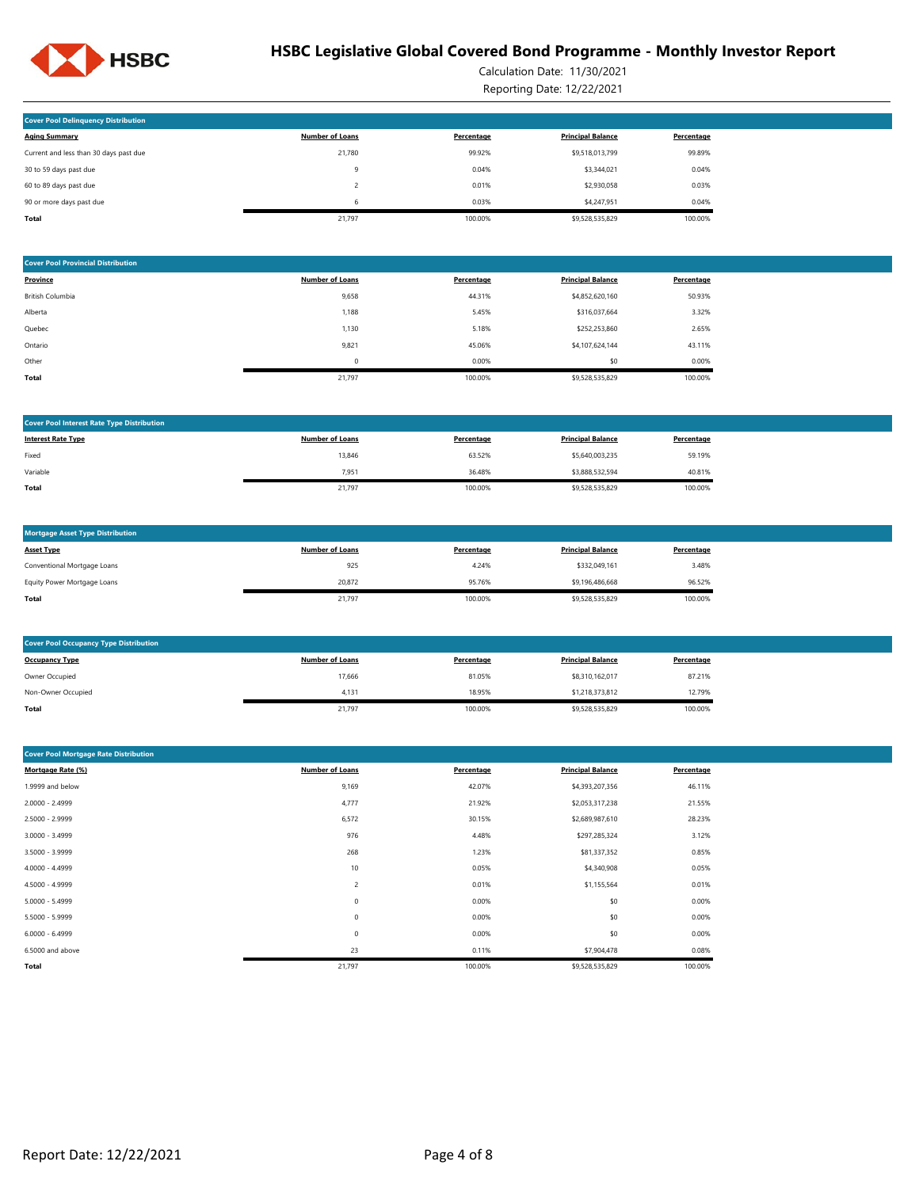

Calculation Date: 11/30/2021 Reporting Date: 12/22/2021

| <b>Cover Pool Delinguency Distribution</b> |                        |            |                          |            |
|--------------------------------------------|------------------------|------------|--------------------------|------------|
| <b>Aging Summary</b>                       | <b>Number of Loans</b> | Percentage | <b>Principal Balance</b> | Percentage |
| Current and less than 30 days past due     | 21,780                 | 99.92%     | \$9,518,013,799          | 99.89%     |
| 30 to 59 days past due                     | 9                      | 0.04%      | \$3,344,021              | 0.04%      |
| 60 to 89 days past due                     |                        | 0.01%      | \$2,930,058              | 0.03%      |
| 90 or more days past due                   | 6                      | 0.03%      | \$4,247.951              | 0.04%      |
| <b>Total</b>                               | 21.797                 | 100.00%    | \$9,528,535,829          | 100.00%    |

| <b>Cover Pool Provincial Distribution</b> |                        |            |                          |            |
|-------------------------------------------|------------------------|------------|--------------------------|------------|
| Province                                  | <b>Number of Loans</b> | Percentage | <b>Principal Balance</b> | Percentage |
| British Columbia                          | 9,658                  | 44.31%     | \$4,852,620,160          | 50.93%     |
| Alberta                                   | 1,188                  | 5.45%      | \$316,037,664            | 3.32%      |
| Quebec                                    | 1,130                  | 5.18%      | \$252,253,860            | 2.65%      |
| Ontario                                   | 9,821                  | 45.06%     | \$4,107,624,144          | 43.11%     |
| Other                                     | $\mathbf 0$            | 0.00%      | \$0                      | 0.00%      |
| Total                                     | 21,797                 | 100.00%    | \$9,528,535,829          | 100.00%    |

| <b>Cover Pool Interest Rate Type Distribution</b> |                        |            |                          |            |
|---------------------------------------------------|------------------------|------------|--------------------------|------------|
| <b>Interest Rate Type</b>                         | <b>Number of Loans</b> | Percentage | <b>Principal Balance</b> | Percentage |
| Fixed                                             | 13,846                 | 63.52%     | \$5,640,003,235          | 59.19%     |
| Variable                                          | 7,951                  | 36.48%     | \$3,888,532,594          | 40.81%     |
| Total                                             | 21,797                 | 100.00%    | \$9,528,535,829          | 100.00%    |

| <b>Mortgage Asset Type Distribution</b> |                        |            |                          |            |
|-----------------------------------------|------------------------|------------|--------------------------|------------|
| <b>Asset Type</b>                       | <b>Number of Loans</b> | Percentage | <b>Principal Balance</b> | Percentage |
| Conventional Mortgage Loans             | 925                    | 4.24%      | \$332.049.161            | 3.48%      |
| Equity Power Mortgage Loans             | 20.872                 | 95.76%     | \$9,196,486,668          | 96.52%     |
| Total                                   | 21,797                 | 100.00%    | \$9,528,535,829          | 100.00%    |

| <b>Cover Pool Occupancy Type Distribution</b> |                        |            |                          |            |  |  |  |  |
|-----------------------------------------------|------------------------|------------|--------------------------|------------|--|--|--|--|
| <b>Occupancy Type</b>                         | <b>Number of Loans</b> | Percentage | <b>Principal Balance</b> | Percentage |  |  |  |  |
| Owner Occupied                                | 17,666                 | 81.05%     | \$8,310,162,017          | 87.21%     |  |  |  |  |
| Non-Owner Occupied                            | 4.131                  | 18.95%     | \$1,218,373,812          | 12.79%     |  |  |  |  |
| Total                                         | 21,797                 | 100.00%    | \$9,528,535,829          | 100.00%    |  |  |  |  |

| <b>Cover Pool Mortgage Rate Distribution</b> |                        |            |                          |            |  |  |  |
|----------------------------------------------|------------------------|------------|--------------------------|------------|--|--|--|
| Mortgage Rate (%)                            | <b>Number of Loans</b> | Percentage | <b>Principal Balance</b> | Percentage |  |  |  |
| 1.9999 and below                             | 9,169                  | 42.07%     | \$4,393,207,356          | 46.11%     |  |  |  |
| $2.0000 - 2.4999$                            | 4,777                  | 21.92%     | \$2,053,317,238          | 21.55%     |  |  |  |
| 2.5000 - 2.9999                              | 6,572                  | 30.15%     | \$2,689,987,610          | 28.23%     |  |  |  |
| $3.0000 - 3.4999$                            | 976                    | 4.48%      | \$297,285,324            | 3.12%      |  |  |  |
| 3.5000 - 3.9999                              | 268                    | 1.23%      | \$81,337,352             | 0.85%      |  |  |  |
| 4.0000 - 4.4999                              | 10                     | 0.05%      | \$4,340,908              | 0.05%      |  |  |  |
| 4.5000 - 4.9999                              | 2                      | 0.01%      | \$1,155,564              | 0.01%      |  |  |  |
| $5.0000 - 5.4999$                            | 0                      | 0.00%      | \$0                      | 0.00%      |  |  |  |
| 5.5000 - 5.9999                              | 0                      | 0.00%      | \$0                      | 0.00%      |  |  |  |
| $6.0000 - 6.4999$                            | $\mathbf 0$            | 0.00%      | \$0                      | 0.00%      |  |  |  |
| 6.5000 and above                             | 23                     | 0.11%      | \$7,904,478              | 0.08%      |  |  |  |
| Total                                        | 21,797                 | 100.00%    | \$9,528,535,829          | 100.00%    |  |  |  |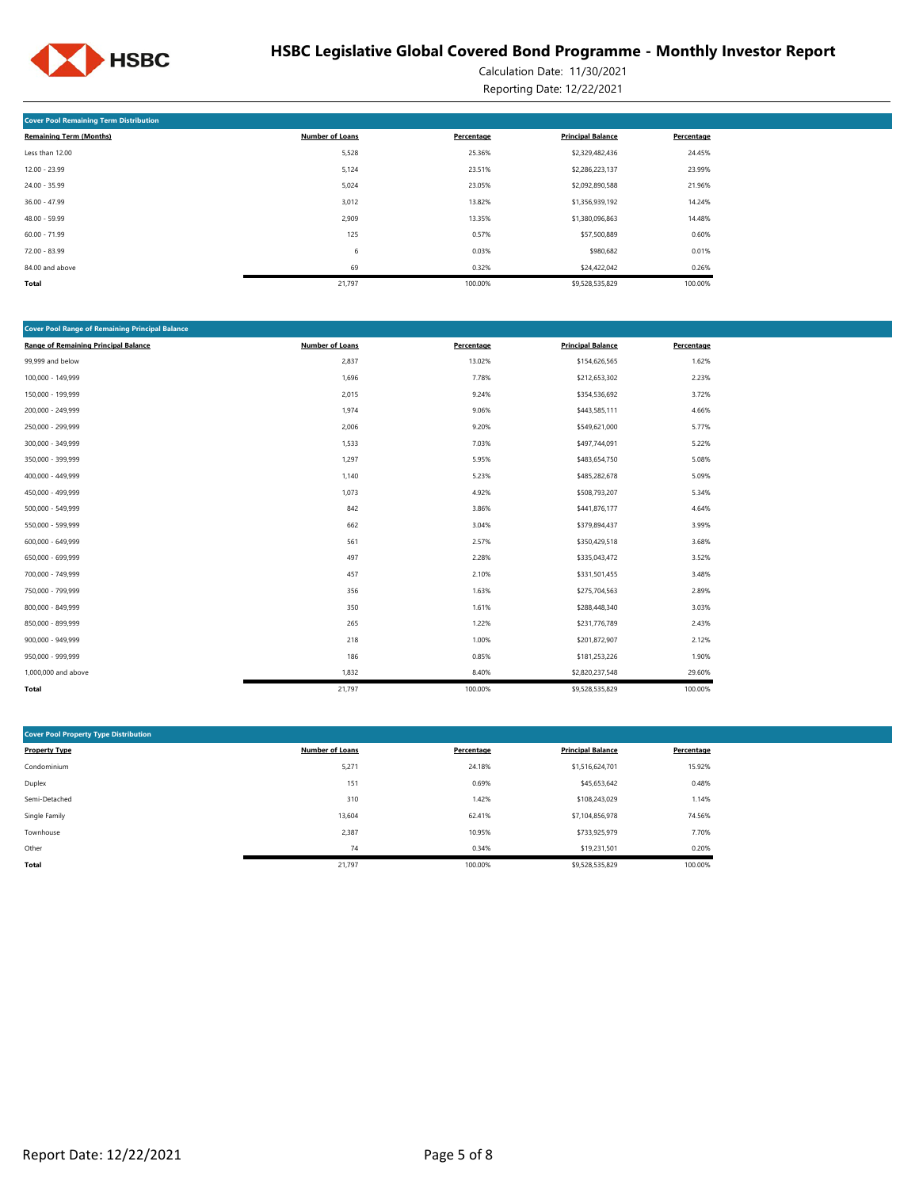

Calculation Date: 11/30/2021 Reporting Date: 12/22/2021

| <b>Cover Pool Remaining Term Distribution</b> |                        |            |                          |            |  |  |  |  |  |
|-----------------------------------------------|------------------------|------------|--------------------------|------------|--|--|--|--|--|
| <b>Remaining Term (Months)</b>                | <b>Number of Loans</b> | Percentage | <b>Principal Balance</b> | Percentage |  |  |  |  |  |
| Less than 12.00                               | 5,528                  | 25.36%     | \$2,329,482,436          | 24.45%     |  |  |  |  |  |
| $12.00 - 23.99$                               | 5,124                  | 23.51%     | \$2,286,223,137          | 23.99%     |  |  |  |  |  |
| 24.00 - 35.99                                 | 5,024                  | 23.05%     | \$2,092,890,588          | 21.96%     |  |  |  |  |  |
| 36.00 - 47.99                                 | 3,012                  | 13.82%     | \$1,356,939,192          | 14.24%     |  |  |  |  |  |
| 48.00 - 59.99                                 | 2,909                  | 13.35%     | \$1,380,096,863          | 14.48%     |  |  |  |  |  |
| $60.00 - 71.99$                               | 125                    | 0.57%      | \$57,500,889             | 0.60%      |  |  |  |  |  |
| 72.00 - 83.99                                 | 6                      | 0.03%      | \$980,682                | 0.01%      |  |  |  |  |  |
| 84.00 and above                               | 69                     | 0.32%      | \$24,422,042             | 0.26%      |  |  |  |  |  |
| Total                                         | 21,797                 | 100.00%    | \$9,528,535,829          | 100.00%    |  |  |  |  |  |

| <b>Cover Pool Range of Remaining Principal Balance</b> |                        |            |                          |            |
|--------------------------------------------------------|------------------------|------------|--------------------------|------------|
| <b>Range of Remaining Principal Balance</b>            | <b>Number of Loans</b> | Percentage | <b>Principal Balance</b> | Percentage |
| 99,999 and below                                       | 2,837                  | 13.02%     | \$154,626,565            | 1.62%      |
| 100,000 - 149,999                                      | 1,696                  | 7.78%      | \$212,653,302            | 2.23%      |
| 150,000 - 199,999                                      | 2,015                  | 9.24%      | \$354,536,692            | 3.72%      |
| 200,000 - 249,999                                      | 1,974                  | 9.06%      | \$443,585,111            | 4.66%      |
| 250,000 - 299,999                                      | 2,006                  | 9.20%      | \$549,621,000            | 5.77%      |
| 300,000 - 349,999                                      | 1,533                  | 7.03%      | \$497,744,091            | 5.22%      |
| 350,000 - 399,999                                      | 1,297                  | 5.95%      | \$483,654,750            | 5.08%      |
| 400,000 - 449,999                                      | 1,140                  | 5.23%      | \$485,282,678            | 5.09%      |
| 450,000 - 499,999                                      | 1,073                  | 4.92%      | \$508,793,207            | 5.34%      |
| 500,000 - 549,999                                      | 842                    | 3.86%      | \$441,876,177            | 4.64%      |
| 550,000 - 599,999                                      | 662                    | 3.04%      | \$379,894,437            | 3.99%      |
| 600,000 - 649,999                                      | 561                    | 2.57%      | \$350,429,518            | 3.68%      |
| 650,000 - 699,999                                      | 497                    | 2.28%      | \$335,043,472            | 3.52%      |
| 700,000 - 749,999                                      | 457                    | 2.10%      | \$331,501,455            | 3.48%      |
| 750,000 - 799,999                                      | 356                    | 1.63%      | \$275,704,563            | 2.89%      |
| 800,000 - 849,999                                      | 350                    | 1.61%      | \$288,448,340            | 3.03%      |
| 850,000 - 899,999                                      | 265                    | 1.22%      | \$231,776,789            | 2.43%      |
| 900,000 - 949,999                                      | 218                    | 1.00%      | \$201,872,907            | 2.12%      |
| 950,000 - 999,999                                      | 186                    | 0.85%      | \$181,253,226            | 1.90%      |
| 1,000,000 and above                                    | 1,832                  | 8.40%      | \$2,820,237,548          | 29.60%     |
| Total                                                  | 21,797                 | 100.00%    | \$9,528,535,829          | 100.00%    |

| <b>Cover Pool Property Type Distribution</b> |                        |            |                          |            |  |  |  |  |  |  |
|----------------------------------------------|------------------------|------------|--------------------------|------------|--|--|--|--|--|--|
| <b>Property Type</b>                         | <b>Number of Loans</b> | Percentage | <b>Principal Balance</b> | Percentage |  |  |  |  |  |  |
| Condominium                                  | 5,271                  | 24.18%     | \$1,516,624,701          | 15.92%     |  |  |  |  |  |  |
| Duplex                                       | 151                    | 0.69%      | \$45,653,642             | 0.48%      |  |  |  |  |  |  |
| Semi-Detached                                | 310                    | 1.42%      | \$108,243,029            | 1.14%      |  |  |  |  |  |  |
| Single Family                                | 13,604                 | 62.41%     | \$7,104,856,978          | 74.56%     |  |  |  |  |  |  |
| Townhouse                                    | 2,387                  | 10.95%     | \$733,925,979            | 7.70%      |  |  |  |  |  |  |
| Other                                        | 74                     | 0.34%      | \$19,231.501             | 0.20%      |  |  |  |  |  |  |
| Total                                        | 21,797                 | 100.00%    | \$9,528,535,829          | 100.00%    |  |  |  |  |  |  |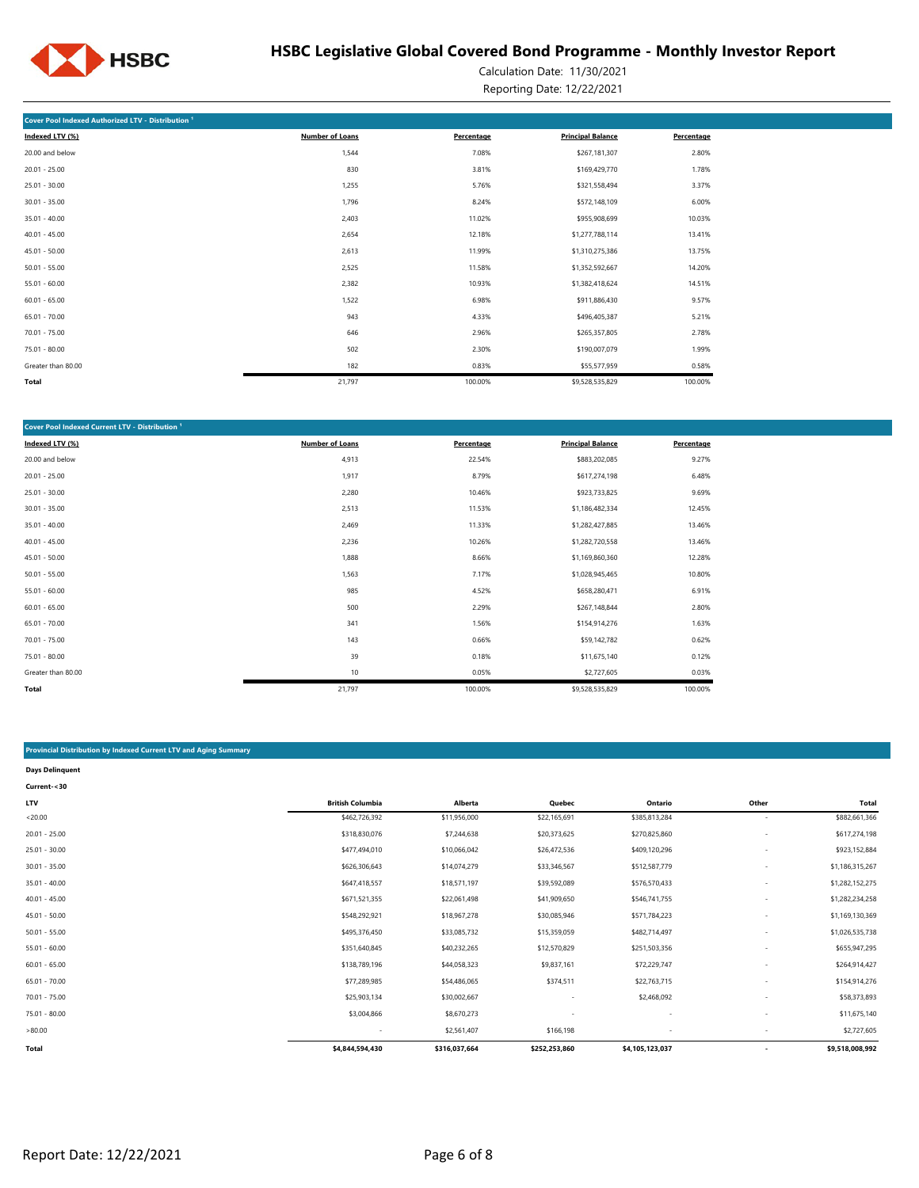

Calculation Date: 11/30/2021 Reporting Date: 12/22/2021

| Cover Pool Indexed Authorized LTV - Distribution <sup>1</sup> |                        |            |                          |            |  |  |  |  |  |  |
|---------------------------------------------------------------|------------------------|------------|--------------------------|------------|--|--|--|--|--|--|
| Indexed LTV (%)                                               | <b>Number of Loans</b> | Percentage | <b>Principal Balance</b> | Percentage |  |  |  |  |  |  |
| 20.00 and below                                               | 1,544                  | 7.08%      | \$267,181,307            | 2.80%      |  |  |  |  |  |  |
| $20.01 - 25.00$                                               | 830                    | 3.81%      | \$169,429,770            | 1.78%      |  |  |  |  |  |  |
| $25.01 - 30.00$                                               | 1,255                  | 5.76%      | \$321,558,494            | 3.37%      |  |  |  |  |  |  |
| $30.01 - 35.00$                                               | 1,796                  | 8.24%      | \$572,148,109            | 6.00%      |  |  |  |  |  |  |
| $35.01 - 40.00$                                               | 2,403                  | 11.02%     | \$955,908,699            | 10.03%     |  |  |  |  |  |  |
| $40.01 - 45.00$                                               | 2,654                  | 12.18%     | \$1,277,788,114          | 13.41%     |  |  |  |  |  |  |
| $45.01 - 50.00$                                               | 2,613                  | 11.99%     | \$1,310,275,386          | 13.75%     |  |  |  |  |  |  |
| $50.01 - 55.00$                                               | 2,525                  | 11.58%     | \$1,352,592,667          | 14.20%     |  |  |  |  |  |  |
| $55.01 - 60.00$                                               | 2,382                  | 10.93%     | \$1,382,418,624          | 14.51%     |  |  |  |  |  |  |
| $60.01 - 65.00$                                               | 1,522                  | 6.98%      | \$911,886,430            | 9.57%      |  |  |  |  |  |  |
| $65.01 - 70.00$                                               | 943                    | 4.33%      | \$496,405,387            | 5.21%      |  |  |  |  |  |  |
| 70.01 - 75.00                                                 | 646                    | 2.96%      | \$265,357,805            | 2.78%      |  |  |  |  |  |  |
| 75.01 - 80.00                                                 | 502                    | 2.30%      | \$190,007,079            | 1.99%      |  |  |  |  |  |  |
| Greater than 80.00                                            | 182                    | 0.83%      | \$55,577,959             | 0.58%      |  |  |  |  |  |  |
| Total                                                         | 21,797                 | 100.00%    | \$9,528,535,829          | 100.00%    |  |  |  |  |  |  |

| <b>Cover Pool Indexed Current LTV - Distribution 1</b> |                        |            |                          |            |  |  |  |  |  |  |
|--------------------------------------------------------|------------------------|------------|--------------------------|------------|--|--|--|--|--|--|
| Indexed LTV (%)                                        | <b>Number of Loans</b> | Percentage | <b>Principal Balance</b> | Percentage |  |  |  |  |  |  |
| 20.00 and below                                        | 4,913                  | 22.54%     | \$883,202,085            | 9.27%      |  |  |  |  |  |  |
| $20.01 - 25.00$                                        | 1,917                  | 8.79%      | \$617,274,198            | 6.48%      |  |  |  |  |  |  |
| $25.01 - 30.00$                                        | 2,280                  | 10.46%     | \$923,733,825            | 9.69%      |  |  |  |  |  |  |
| $30.01 - 35.00$                                        | 2,513                  | 11.53%     | \$1,186,482,334          | 12.45%     |  |  |  |  |  |  |
| $35.01 - 40.00$                                        | 2,469                  | 11.33%     | \$1,282,427,885          | 13.46%     |  |  |  |  |  |  |
| $40.01 - 45.00$                                        | 2,236                  | 10.26%     | \$1,282,720,558          | 13.46%     |  |  |  |  |  |  |
| $45.01 - 50.00$                                        | 1,888                  | 8.66%      | \$1,169,860,360          | 12.28%     |  |  |  |  |  |  |
| $50.01 - 55.00$                                        | 1,563                  | 7.17%      | \$1,028,945,465          | 10.80%     |  |  |  |  |  |  |
| $55.01 - 60.00$                                        | 985                    | 4.52%      | \$658,280,471            | 6.91%      |  |  |  |  |  |  |
| $60.01 - 65.00$                                        | 500                    | 2.29%      | \$267,148,844            | 2.80%      |  |  |  |  |  |  |
| $65.01 - 70.00$                                        | 341                    | 1.56%      | \$154,914,276            | 1.63%      |  |  |  |  |  |  |
| $70.01 - 75.00$                                        | 143                    | 0.66%      | \$59,142,782             | 0.62%      |  |  |  |  |  |  |
| $75.01 - 80.00$                                        | 39                     | 0.18%      | \$11,675,140             | 0.12%      |  |  |  |  |  |  |
| Greater than 80.00                                     | 10                     | 0.05%      | \$2,727,605              | 0.03%      |  |  |  |  |  |  |
| Total                                                  | 21,797                 | 100.00%    | \$9,528,535,829          | 100.00%    |  |  |  |  |  |  |

#### **Provincial Distribution by Indexed Current LTV and Aging Summary**

| <b>Days Delinquent</b> |                         |               |               |                          |                          |                 |
|------------------------|-------------------------|---------------|---------------|--------------------------|--------------------------|-----------------|
| Current-<30            |                         |               |               |                          |                          |                 |
| <b>LTV</b>             | <b>British Columbia</b> | Alberta       | Quebec        | Ontario                  | Other                    | Total           |
| < 20.00                | \$462,726,392           | \$11,956,000  | \$22,165,691  | \$385,813,284            | $\overline{\phantom{a}}$ | \$882,661,366   |
| $20.01 - 25.00$        | \$318,830,076           | \$7,244,638   | \$20,373,625  | \$270,825,860            | $\overline{\phantom{a}}$ | \$617,274,198   |
| $25.01 - 30.00$        | \$477,494,010           | \$10,066,042  | \$26,472,536  | \$409,120,296            | $\overline{\phantom{a}}$ | \$923,152,884   |
| $30.01 - 35.00$        | \$626,306,643           | \$14,074,279  | \$33,346,567  | \$512,587,779            |                          | \$1,186,315,267 |
| $35.01 - 40.00$        | \$647,418,557           | \$18,571,197  | \$39,592,089  | \$576,570,433            |                          | \$1,282,152,275 |
| $40.01 - 45.00$        | \$671,521,355           | \$22,061,498  | \$41,909,650  | \$546,741,755            |                          | \$1,282,234,258 |
| $45.01 - 50.00$        | \$548,292,921           | \$18,967,278  | \$30,085,946  | \$571,784,223            |                          | \$1,169,130,369 |
| $50.01 - 55.00$        | \$495,376,450           | \$33,085,732  | \$15,359,059  | \$482,714,497            | $\overline{\phantom{a}}$ | \$1,026,535,738 |
| $55.01 - 60.00$        | \$351,640,845           | \$40,232,265  | \$12,570,829  | \$251,503,356            |                          | \$655,947,295   |
| $60.01 - 65.00$        | \$138,789,196           | \$44,058,323  | \$9,837,161   | \$72,229,747             |                          | \$264,914,427   |
| $65.01 - 70.00$        | \$77,289,985            | \$54,486,065  | \$374,511     | \$22,763,715             |                          | \$154,914,276   |
| $70.01 - 75.00$        | \$25,903,134            | \$30,002,667  | ٠             | \$2,468,092              |                          | \$58,373,893    |
| 75.01 - 80.00          | \$3,004,866             | \$8,670,273   | ٠             | $\overline{\phantom{a}}$ |                          | \$11,675,140    |
| >80.00                 | $\sim$                  | \$2,561,407   | \$166,198     |                          |                          | \$2,727,605     |
| <b>Total</b>           | \$4,844,594,430         | \$316,037,664 | \$252,253,860 | \$4,105,123,037          | $\overline{\phantom{a}}$ | \$9,518,008,992 |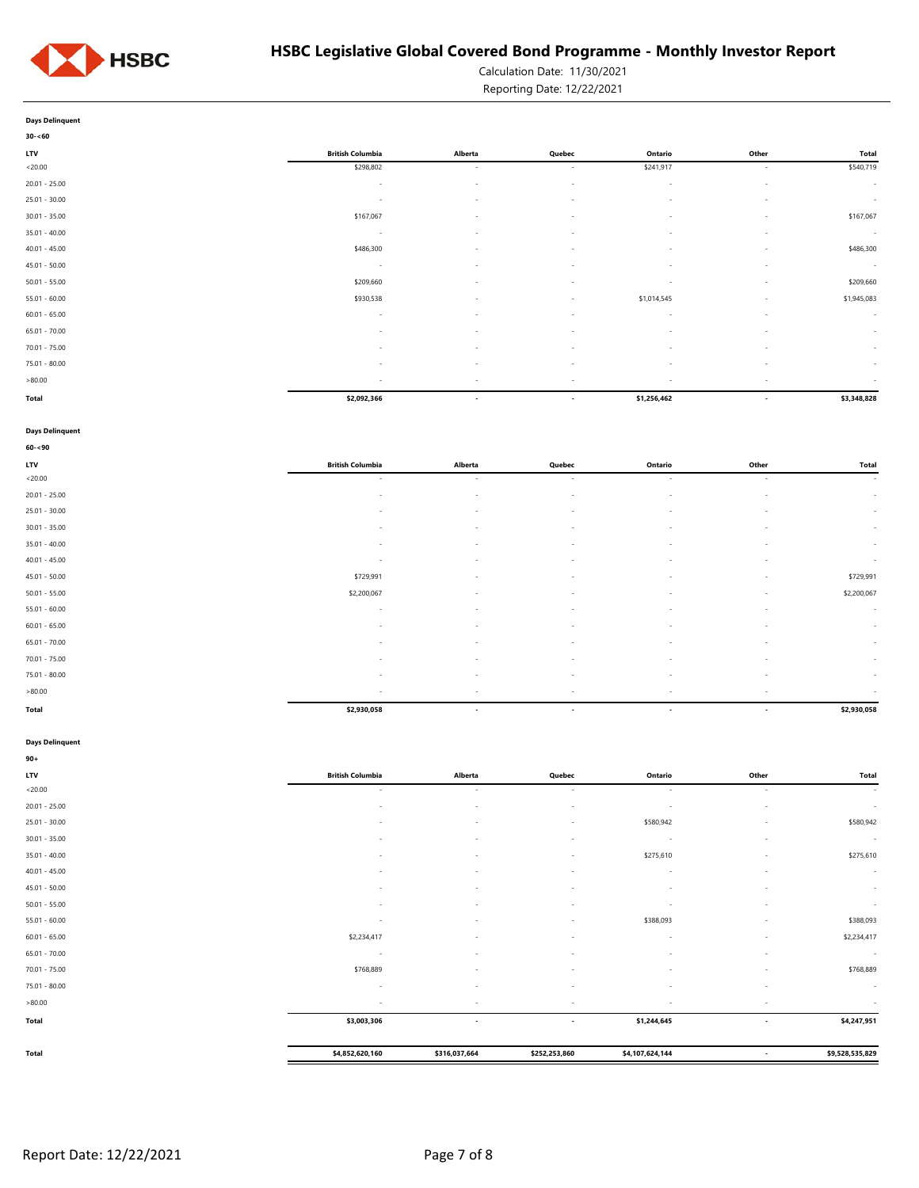

Calculation Date: 11/30/2021 Reporting Date: 12/22/2021

### **Days Delinquent**

| $30 - 60$       |                          |                          |                          |                          |                          |                          |
|-----------------|--------------------------|--------------------------|--------------------------|--------------------------|--------------------------|--------------------------|
| LTV             | <b>British Columbia</b>  | Alberta                  | Quebec                   | Ontario                  | Other                    | <b>Total</b>             |
| < 20.00         | \$298,802                | $\overline{\phantom{a}}$ | $\sim$                   | \$241,917                | $\sim$                   | \$540,719                |
| $20.01 - 25.00$ | $\overline{\phantom{a}}$ | $\overline{\phantom{a}}$ | $\sim$                   | $\sim$                   | $\overline{\phantom{a}}$ | $\overline{\phantom{a}}$ |
| $25.01 - 30.00$ | $\overline{\phantom{a}}$ | $\sim$                   | $\sim$                   | $\sim$                   | $\sim$                   | $\overline{\phantom{a}}$ |
| $30.01 - 35.00$ | \$167,067                | $\sim$                   | $\overline{\phantom{a}}$ | $\sim$                   | $\sim$                   | \$167,067                |
| $35.01 - 40.00$ | $\sim$                   | $\sim$                   | $\sim$                   | ٠                        | $\sim$                   | $\overline{\phantom{a}}$ |
| $40.01 - 45.00$ | \$486,300                | $\sim$                   | $\overline{\phantom{a}}$ | $\sim$                   | $\sim$                   | \$486,300                |
| $45.01 - 50.00$ | $\sim$                   | $\sim$                   | $\overline{\phantom{a}}$ | $\sim$                   | $\sim$                   | $\overline{\phantom{a}}$ |
| $50.01 - 55.00$ | \$209,660                | $\sim$                   | $\overline{\phantom{a}}$ | $\sim$                   | $\sim$                   | \$209,660                |
| $55.01 - 60.00$ | \$930,538                | $\overline{\phantom{a}}$ | $\sim$                   | \$1,014,545              | $\sim$                   | \$1,945,083              |
| $60.01 - 65.00$ | $\overline{\phantom{a}}$ | $\sim$                   | $\sim$                   | $\sim$                   | $\sim$                   | $\overline{\phantom{a}}$ |
| $65.01 - 70.00$ | $\sim$                   | $\sim$                   | $\sim$                   | $\sim$                   | $\sim$                   | $\sim$                   |
| $70.01 - 75.00$ | $\overline{\phantom{a}}$ | $\sim$                   | $\overline{\phantom{a}}$ | $\sim$                   | $\sim$                   | $\overline{\phantom{a}}$ |
| $75.01 - 80.00$ | ٠                        | $\overline{\phantom{a}}$ | $\sim$                   | ٠                        | $\overline{\phantom{a}}$ | $\overline{\phantom{a}}$ |
| >80.00          | $\overline{\phantom{a}}$ | $\overline{\phantom{a}}$ | $\overline{\phantom{a}}$ | $\overline{\phantom{a}}$ | $\sim$                   | $\overline{\phantom{a}}$ |
| Total           | \$2,092,366              | $\overline{\phantom{a}}$ | $\overline{\phantom{a}}$ | \$1,256,462              | $\overline{\phantom{a}}$ | \$3,348,828              |

#### **Days Delinquent**

| $60 - 90$       |                          |                          |                          |                          |                          |                |
|-----------------|--------------------------|--------------------------|--------------------------|--------------------------|--------------------------|----------------|
| <b>LTV</b>      | <b>British Columbia</b>  | Alberta                  | Quebec                   | Ontario                  | Other                    | Total          |
| < 20.00         | $\sim$                   | $\sim$                   | $\sim$                   | $\sim$                   | $\sim$                   | $\sim 10^{-1}$ |
| $20.01 - 25.00$ | $\sim$                   | $\overline{\phantom{a}}$ | $\sim$                   | $\sim$                   | $\sim$                   | $\sim$         |
| $25.01 - 30.00$ | $\sim$                   | $\sim$                   | $\sim$                   | $\overline{\phantom{a}}$ | $\sim$                   | $\sim$         |
| $30.01 - 35.00$ | $\sim$                   | $\sim$                   | $\sim$                   | $\sim$                   | $\sim$                   | $\sim$         |
| $35.01 - 40.00$ | $\overline{\phantom{a}}$ |                          | $\sim$                   | $\sim$                   | $\sim$                   | $\sim$         |
| $40.01 - 45.00$ | $\sim$                   | $\sim$                   | $\sim$                   | $\overline{\phantom{a}}$ | $\sim$                   | $\sim$         |
| $45.01 - 50.00$ | \$729,991                | $\sim$                   | $\sim$                   | $\sim$                   | $\sim$                   | \$729,991      |
| $50.01 - 55.00$ | \$2,200,067              |                          | $\overline{\phantom{a}}$ | $\sim$                   | $\sim$                   | \$2,200,067    |
| $55.01 - 60.00$ | $\sim$                   | $\overline{\phantom{a}}$ | $\sim$                   | $\sim$                   | $\sim$                   | $\sim$         |
| $60.01 - 65.00$ | $\overline{\phantom{a}}$ | $\sim$                   | $\overline{\phantom{a}}$ | $\overline{\phantom{a}}$ | $\sim$                   | $\sim$         |
| $65.01 - 70.00$ | $\sim$                   | $\overline{\phantom{a}}$ | $\sim$                   | $\sim$                   | $\sim$                   | $\sim$         |
| 70.01 - 75.00   | $\sim$                   | $\sim$                   | $\sim$                   | $\overline{\phantom{a}}$ | $\sim$                   | $\sim$         |
| $75.01 - 80.00$ | $\sim$                   | $\sim$                   | $\sim$                   | $\sim$                   | $\sim$                   | $\sim$         |
| >80.00          | $\sim$                   | $\overline{\phantom{a}}$ | $\overline{\phantom{a}}$ | ۰.                       | $\sim$                   | $\sim$         |
| <b>Total</b>    | \$2,930,058              | $\overline{\phantom{a}}$ | $\overline{\phantom{a}}$ | $\overline{\phantom{a}}$ | $\overline{\phantom{a}}$ | \$2,930,058    |

### **Days Delinquent**

**90+**

| --              |                          |                          |                          |                 |                          |                 |
|-----------------|--------------------------|--------------------------|--------------------------|-----------------|--------------------------|-----------------|
| LTV             | <b>British Columbia</b>  | Alberta                  | Quebec                   | Ontario         | Other                    | <b>Total</b>    |
| < 20.00         | $\overline{\phantom{a}}$ | $\sim$                   | $\sim$                   | $\sim$          | $\sim$                   | $\sim$          |
| $20.01 - 25.00$ | $\overline{\phantom{a}}$ | ٠                        | $\overline{\phantom{a}}$ | $\sim$          | $\overline{\phantom{a}}$ | $\sim$          |
| 25.01 - 30.00   | $\overline{\phantom{a}}$ | $\sim$                   | $\sim$                   | \$580,942       | $\overline{\phantom{a}}$ | \$580,942       |
| $30.01 - 35.00$ | $\overline{\phantom{a}}$ | $\overline{\phantom{a}}$ | $\overline{\phantom{a}}$ | $\sim$          | $\sim$                   | $\sim$          |
| 35.01 - 40.00   | ٠                        | $\sim$                   | $\overline{\phantom{a}}$ | \$275,610       | $\overline{\phantom{a}}$ | \$275,610       |
| $40.01 - 45.00$ | ٠                        | ٠                        | $\overline{\phantom{a}}$ | $\sim$          |                          | $\sim$          |
| 45.01 - 50.00   | ٠                        | $\sim$                   | $\overline{\phantom{a}}$ | $\sim$          |                          | $\sim$          |
| $50.01 - 55.00$ | $\overline{\phantom{a}}$ | $\sim$                   | $\overline{\phantom{a}}$ | $\sim$          | <b>.</b>                 | $\sim$          |
| $55.01 - 60.00$ | $\overline{\phantom{a}}$ | $\sim$                   | $\overline{\phantom{a}}$ | \$388,093       | $\overline{\phantom{a}}$ | \$388,093       |
| $60.01 - 65.00$ | \$2,234,417              | ۰                        | $\overline{\phantom{a}}$ | $\sim$          | $\overline{\phantom{a}}$ | \$2,234,417     |
| 65.01 - 70.00   | $\overline{\phantom{a}}$ | ٠                        |                          | $\sim$          | $\overline{\phantom{a}}$ | $\sim$          |
| 70.01 - 75.00   | \$768,889                |                          |                          |                 |                          | \$768,889       |
| 75.01 - 80.00   | $\overline{\phantom{a}}$ | ۰                        |                          | ۰.              |                          | $\sim$          |
| >80.00          | $\overline{\phantom{a}}$ |                          |                          |                 |                          | $\sim$          |
| Total           | \$3,003,306              | $\overline{\phantom{a}}$ | $\overline{\phantom{a}}$ | \$1,244,645     | $\overline{\phantom{a}}$ | \$4,247,951     |
|                 |                          |                          |                          |                 |                          |                 |
| Total           | \$4,852,620,160          | \$316,037,664            | \$252,253,860            | \$4,107,624,144 | $\overline{\phantom{a}}$ | \$9,528,535,829 |